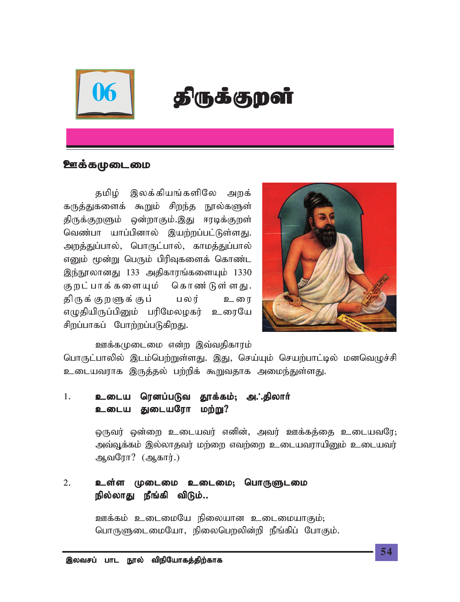

# $06$  | திருக்குறள்

#### <u> ஊக்கமுடைமை</u>

தமிழ் இலக்கியங்களிலே அறக் கருத்துகளைக் கூறும் சிறந்த நூல்களுள் திருக்குறளும் ஒன்றாகும்.இது ஈரடிக்குறள் வெண்பா யாப்பினால் இயற்றப்பட்டுள்ளது. அறத்துப்பால், பொருட்பால், காமத்துப்பால் எனும் மூன்று பெரும் பிரிவுகளைக் கொண்ட இந்நூலானது 133 அதிகாரங்களையும் 1330 கு றட்பாக்களையும் கொண்டுள்ளது. திருக்குறளுக்குப் பலர் உரை எழுதியிருப்பினும் பரிமேலழகர் உரையே சிறப்பாகப் போற்றப்படுகிறது.



<u>ஊக்கமு</u>டைமை என்ற இவ்வதிகாரம்

பொருட்பாலில் இடம்பெற்றுள்ளது. இது, செய்யும் செயற்பாட்டில் மனவெழுச்சி உடையவராக இருத்தல் பற்றிக் கூறுவதாக அமைந்துள்ளது.

#### 1. உடைய ரெனப்படுவ தூக்கம்; அ.**்.**திலார் உடைய துடையரோ மற்று?

<u>ஒருவர் ஒன்றை உடையவர் எனின், அவர் ஊக்கத்தை உடையவரே;</u> அவ்வூக்கம் இல்லாதவர் மற்றை எவற்றை உடையவராயினும் உடையவர் *MtNuh? (Mfhu;.)*

#### 2. உள்ள முடைமை உடைமை; பொருளுடமை நில்லாது நீங்கி விடும்..

*Cf;fk; cilikNa epiyahd cilikahFk;@ nghUSilikNah> epiyngwypd;wp ePq;fpg; NghFk;.*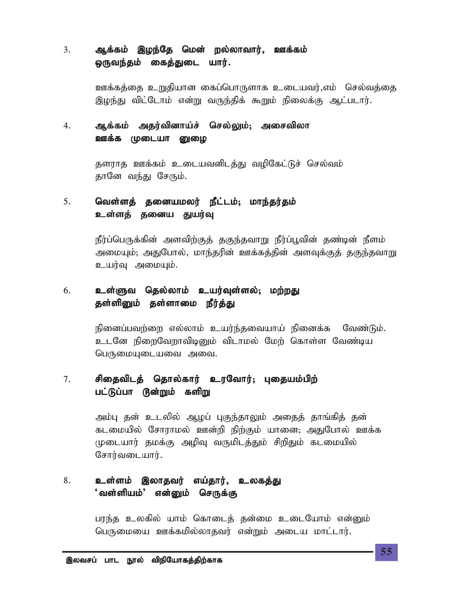#### 3. ஆக்கம் இழந்தே மென் றல்லாவார், ஊக்கம் ஒருவந்தம் கைத்துடை யார்.

ஊக்கத்தை உறுதியான கைப்பொருளாக உடையவர்,எம் செல்வத்தை இழந்து விட்டோம் என்று வருந்திக் கூறும் நிலைக்கு ஆட்படார்.

## *4. Mf;fk; mju;tpdha;r; nry;Yk;@ mirtpyh* ஊக்க முடையா <u>ன</u>ுமை

தளராத ஊக்கம் உடையவனிடத்து வழிகேட்டுச் செல்வம் தானே வந்து சேரும்.

## 5. **மெள்ளத் தனையமலர் நீட்டம்; மாந்தர்தம்** உள்ளத் தனைய துயர்வு

நீர்ப்பெருக்கின் அளவிற்குத் தகுந்தவாறு நீர்ப்பூவின் தண்டின் நீளம் அமையும்; அதுபோல், மாந்தரின் ஊக்கத்தின் அளவுக்குத் தகுந்தவ<u>ா</u>று உயர்வு அமையும்.

## 6. உள்ளுவ தெல்லாம் உயர்வுள்ளல்; மற்றது தள்ளினும் தள்ளாமை நீர்த்<u>த</u>ு

நினைப்பவற்றை எல்லாம் உயர்ந்தவையாய் நினைக்க வேண்டும். *clNd epiwNtwhtpbDk; tplhky; Nkw; nfhs;s Ntz;ba ngUikAilait mit.*

### *7. rpijtplj; njhy;fhu; cuNthu;@ Gijak;gpw; rpijtplj; njhy;fhu; cuNthu;@*  பட்டுப்பா டூன்றும் களிறு

அம்பு தன் உடலில் ஆழப் புகுந்தாலும் அதைத் தாங்கித் தன் கடமையில் சோராமல் ஊன்றி நிற்கும் யானை; அதுபோல் ஊக்க முடையார் தமக்கு அழிவு வருமிடத்தும் சிறிதும் கடமையில்*;* சோர்வடையார்.

#### *8. cs;sk; ,yhjtu; va;jhu;> cyfj;J* ்வள்ளியம்' என்னும் செருக்கு

பரந்த உலகில் யாம் கொடைத் தன்மை உடையோம் என்<u>ன</u>ும் *ngUikia Cf;fkpy;yhjtu; vd;Wk; mila khl;lhu;.*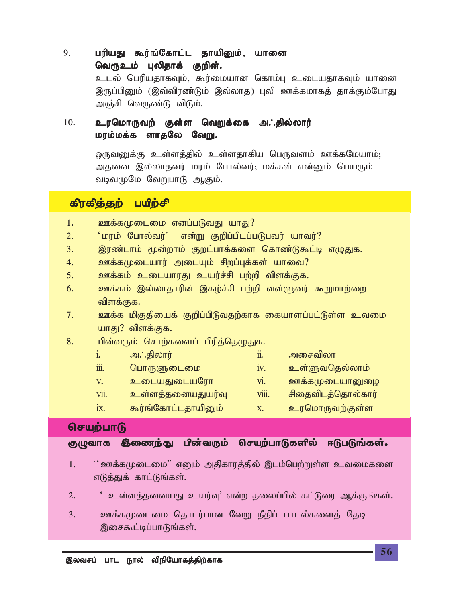9. **பரியது கூர்ங்கோட்ட தாயினும், யானை** வெர<u>ூ உ</u>ம் புலிதாக் குறின். உடல் பெரியதாகவும், கூர்மையான கொம்பு உடையதாகவும் யானை இருப்பினும் (இவ்விரண்டும் இல்லாக) புலி ஊக்கமாகத் தாக்கும்போது அஞ்சி வெருண்டு விடும்.

## 10. உரமொருவற் குள்ள வெறுக்கை அ.்.தில்லார் **மரம்மக்க ளாதலே வேறு.**

 $\Omega$ ருவனுக்கு உள்ளத்தில் உள்ளதாகிய பெருவளம் ஊக்கமேயாம்; அதனை இல்லாதவர் மரம் போல்வர்; மக்கள் என்னும் பெயரும் வடிவமுமே வேறுபாடு ஆகும்.

## கிரகித்தற் பயிற்சி

- 1. ஊக்கமுடைமை எனப்படுவது யாது?
- *2. ~kuk; Nghy;tu;| vd;W Fwpg;gplg;gLgtu; ahtu;?*
- 3. இரண்டாம் மூன்றாம் குறட்பாக்களை கொண்டுகூட்டி எழுதுக.
- 4. *உ*ளக்கமுடையார் அடையும் சிறப்புக்கள் யாவை?
- <u>5. ஊக்கம் உடையாரது உயர்ச்சி பற்றி விளக்குக.</u>
- *6. Cf;fk; ,y;yhjhupd; ,fo;r;rp gw;wp ts;Stu; \$Wkhw;iw* விளக்குக.
- *7. Cf;f kpFjpiaf; Fwpg;gpLtjw;fhf ifahsg;gl;Ls;s ctik* யாது? விளக்குக.
- 8. *பி*ன்வரும் சொற்களைப் பிரிக்கெமுகுக.

|      | அ∴்திலார்           | 11.          | அசைவிலா           |
|------|---------------------|--------------|-------------------|
| iii. | பொருளுடைமை          | 1V.          | உள்ளுவதெல்லாம்    |
| V.   | உடையதுடையரோ         | Vl.          | ஊக்கமுடையானுழை    |
| vii. | உள்ளத்தனையதுயர்வு   | <b>VIII.</b> | சிதைவிடத்தொல்கார் |
| 1X.  | கூர்ங்கோட்டதாயினும் | X.           | உரமொருவற்குள்ள    |

## செயற்பாடு

குழுவாக இணைந்து பின்வரும் செயற்பாடுகளில் ஈடுபடுங்கள்.

- *1. ~~Cf;fKilik|| vDk; mjpfhuj;jpy; ,lk;ngw;Ws;s ctikfis* எடுத்துக் காட்டுங்கள்.
- 2. <u>உ</u>ள்ளத்தனையது உயர்வு' என்ற தலைப்பில் கட்டுரை ஆக்குங்கள்.
- *3. Cf;fKilik njhlu;ghd NtW ePjpg; ghly;fisj; Njb* இசைகூட்டிப்பாடுங்கள்.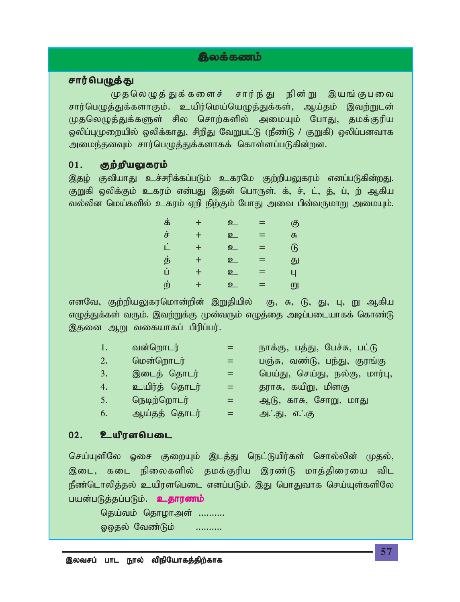# திலக்கணம்

#### சார்பெழுத்து

முதலெழுத்துக்களைச் சார்ந்து நின்று இயங்குபவை சார்பெழுத்துக்களாகும். உயிர்மெய்யெழுத்துக்கள், ஆய்தம் இவற்றுடன் *KjnyOj;Jf;fSs; rpy nrhw;fspy; mikAk; NghJ> jkf;Fupa*  $\circ$ லிப்புமுறையில் ஓலிக்காது, சிறிது வேறுபட்டு (நீண்டு / குறுகி) ஓலிப்பனவாக அமைந்தனவும் சார்பெழுத்துக்களாகக் கொள்ளப்படுகின்றன.

#### 01. குற்றியலுகரம்

இதழ் குவியாது உச்சரிக்கப்படும் உகரமே குற்றியலுகரம் எனப்படுகின்றது. குறுகி ஒலிக்கும் உகரம் என்பது இதன் பொருள். க், ச், ட், த், ப், ற் ஆகிய வல்லின மெய்களில் உகரம் ஏறி நிற்கும் போது அவை பின்வருமாறு அமையும்.

| க் | $\pm$            | உ | $=$ | கு                      |
|----|------------------|---|-----|-------------------------|
| ச் | $\pm$            | உ | $=$ | சு                      |
| ட் | $\pm$            | உ | =   | $\overline{\mathbb{G}}$ |
| த் | $\pm$            | உ | $=$ | து                      |
| ů  | $\pm$            | உ | $=$ | 4                       |
| ற் | $\boldsymbol{+}$ | உ | $=$ | று                      |

எனவே, குற்றியலுகரமொன்றின் இறுதியில் கு, சு, டு, து, பு, று ஆகிய எமுத்துக்கள் வரும். இவற்றுக்கு முன்வரும் எமுத்தை அடிப்படையாகக் கொண்டு இதனை ஆறு வகையாகப் பிரிப்பர்.

| 1.7 | வன்றொடர்      |     | நாக்கு, பத்து, பேச்சு, பட்டு   |
|-----|---------------|-----|--------------------------------|
| 2.  | மென்றொடர்     |     | பஞ்சு, வண்டு, பந்து, குரங்கு   |
| 3.  | இடைத் தொடர்   | $=$ | பெய்து, செய்து, நல்கு, மார்பு, |
| 4.  | உயிர்த் தொடர் | $=$ | தராசு, கயிறு, மிளகு            |
| 5.  | நெடிற்றொடர்   | ÆF. | ஆடு, காசு, சோறு, மாது          |
| 6.  | ஆய்தத் தொடர்  | =   | அ∴்து, எ∴்கு                   |

#### 02. உயிரளபெடை

செய்யுளிலே ஓசை குறையும் இடத்து நெட்டுயிர்கள் சொல்லின் முதல், இடை, கடை நிலைகளில் தமக்குரிய இரண்டு மாத்திரையை விட நீண்டொலித்தல் உயிரளபெடை எனப்படும். இது பொதுவாக செய்யுள்களிலே பயன்படுத்தப்படும். <mark>உதாரணம்</mark>

தெய்வம் தொழாஅள் .......... <u>ஓஓதல் வேண்டும் ..........</u>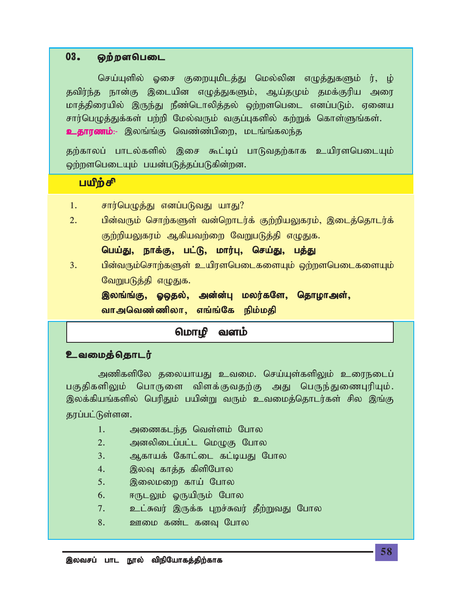#### $03.$   $\omega$ ற்றளபெடை

செய்யுளில் ஓசை குறையுமிடத்து மெல்லின எழுத்துகளும் ர், ழ் தவிர்ந்த நான்கு இடையின எழுத்துகளும், ஆய்தமும் தமக்குரிய அரை மாத்திரையில் இருந்து நீண்டொலித்தல் ஒற்றளபெடை எனப்படும். ஏனைய சார்பெழுத்துக்கள் பற்றி மேல்வரும் வகுப்புகளில் கற்றுக் கொள்ளுங்கள். **உதாரணம்**:- இலங்ங்கு வெண்ண்பிறை, மடங்ங்கலந்த

தற்காலப் பாடல்களில் இசை கூட்டிப் பாடுவதற்காக உயிரளபெடையும் ஒற்றளபெடையும் பயன்படுத்தப்படுகின்றன.

## பயிற்சி

- 1. சார்பெழுத்து எனப்படுவது யாது?
- 2. பின்வரும் சொற்களுள் வன்றொடர்க் குற்றியலுகரம், இடைத்தொடர்க் குற்றியலுகரம் ஆகியவற்றை வேறுபடுத்தி எழுதுக.

*nga;J> ehf;F> gl;L> khu;G> nra;J> gj;J*

3. *பி*ன்வரும்சொற்களுள் உயிரளபெடைகளையும் ஒற்றளபெடைகளையும் வேறுபடுத்தி எழுதுக.

இலங்ங்கு, ஓஒதல், அன்ன்பு மலர்களே, தொழாஅள், வாஅவெண்ணிலா, எங்ங்கே நிம்மகி

### மொமி வளம்

#### <u>உவமைத்தொடர்</u>

அணிகளிலே தலையாயது உவமை. செய்யுள்களிலும் உரைநடைப் பகுதிகளிலும் பொருளை விளக்குவதற்கு அது பெருந்துணைபுரியும். இலக்கியங்களில் பெரிதும் பயின்று வரும் உவமைத்தொடர்கள் சில இங்கு தரப்பட்டுள்ளன.

- 1. அணைகடந்த வெள்ளம் போல
- *2. mdypilg;gl;l nkOF Nghy*
- *3. Mfhaf; Nfhl;il fl;baJ Nghy*
- 4. இலவு காத்த கிளிபோல
- 5. இலைமறை காய் போல
- <u>6. ஈருடலும் ஓருயிரும் போல</u>
- <u>7. உட்சுவர் இருக்க புறச்சுவர் தீற்றுவது</u> போல
- 8. <u>ஊமை கண்ட</u> கனவு போல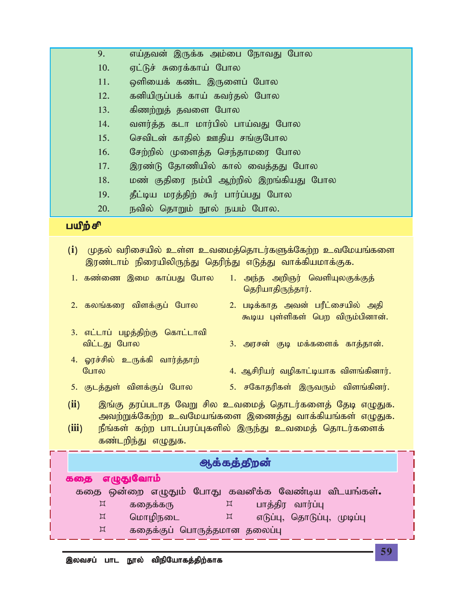| 11.                                                                                                                                                                                                               | ஒளியைக் கண்ட இருளைப் போல                                                                                          |  |  |
|-------------------------------------------------------------------------------------------------------------------------------------------------------------------------------------------------------------------|-------------------------------------------------------------------------------------------------------------------|--|--|
| 12.                                                                                                                                                                                                               | கனியிருப்பக் காய் கவர்தல் போல                                                                                     |  |  |
| 13.                                                                                                                                                                                                               | கிணற்றுத் தவளை போல                                                                                                |  |  |
| 14.                                                                                                                                                                                                               | வளர்த்த கடா மார்பில் பாய்வது போல                                                                                  |  |  |
| 15.                                                                                                                                                                                                               | செவிடன் காதில் ஊதிய சங்குபோல                                                                                      |  |  |
| 16.                                                                                                                                                                                                               | சேற்றில் முளைத்த செந்தாமரை போல                                                                                    |  |  |
| 17.                                                                                                                                                                                                               | இரண்டு தோணியில் கால் வைத்தது போல                                                                                  |  |  |
| 18.                                                                                                                                                                                                               | மண் குதிரை நம்பி ஆற்றில் இறங்கியது போல                                                                            |  |  |
| 19.                                                                                                                                                                                                               | தீட்டிய மரத்திற் கூர் பார்ப்பது போல                                                                               |  |  |
| 20.                                                                                                                                                                                                               | நவில் தொறும் நூல் நயம் போல.                                                                                       |  |  |
| பயிற்சி                                                                                                                                                                                                           |                                                                                                                   |  |  |
|                                                                                                                                                                                                                   |                                                                                                                   |  |  |
| (i)                                                                                                                                                                                                               | முதல் வரிசையில் உள்ள உவமைத்தொடர்களுக்கேற்ற உவமேயங்களை<br>இரண்டாம் நிரையிலிருந்து தெரிந்து எடுத்து வாக்கியமாக்குக. |  |  |
|                                                                                                                                                                                                                   | 1. கண்ணை இமை காப்பது போல<br>1. அந்த அறிஞர் வெளியுலகுக்குத்<br>தெரியாதிருந்தார்.                                   |  |  |
|                                                                                                                                                                                                                   | 2. கலங்கரை விளக்குப் போல<br>2. படிக்காத அவன் பரீட்சையில் அதி<br>கூடிய புள்ளிகள் பெற விரும்பினான்.                 |  |  |
| 3. எட்டாப் பழத்திற்கு கொட்டாவி<br>விட்டது போல<br>3. அரசன் குடி மக்களைக் காத்தான்.                                                                                                                                 |                                                                                                                   |  |  |
| போல                                                                                                                                                                                                               | 4. ஓரச்சில் உருக்கி வார்த்தாற்<br>4. ஆசிரியர் வழிகாட்டியாக விளங்கினார்.                                           |  |  |
|                                                                                                                                                                                                                   | 5. குடத்துள் விளக்குப் போல<br>5. சகோதரிகள் இருவரும் விளங்கினர்.                                                   |  |  |
| (ii)<br>இங்கு தரப்படாத வேறு சில உவமைத் தொடர்களைத் தேடி எழுதுக.<br>அவற்றுக்கேற்ற உவமேயங்களை இணைத்து வாக்கியங்கள் எழுதுக.<br>(iii)<br>நீங்கள் கற்ற பாடப்பரப்புகளில் இருந்து உவமைத் தொடர்களைக்<br>கண்டறிந்து எழுதுக. |                                                                                                                   |  |  |
|                                                                                                                                                                                                                   | ஆக்கத்திறன்                                                                                                       |  |  |
| கதை எழுதுவோம்                                                                                                                                                                                                     |                                                                                                                   |  |  |
| கதை ஒன்றை எழுதும் போது கவனிக்க வேண்டிய விடயங்கள்.                                                                                                                                                                 |                                                                                                                   |  |  |
| $\boxtimes$                                                                                                                                                                                                       | கதைக்கரு<br>$\boxtimes$<br>பாத்திர வார்ப்பு                                                                       |  |  |
| $\boxtimes$                                                                                                                                                                                                       | மொழிநடை<br>$\boxtimes$<br>எடுப்பு, தொடுப்பு, முடிப்பு                                                             |  |  |
| $\boxtimes$                                                                                                                                                                                                       | கதைக்குப் பொருத்தமான தலைப்பு                                                                                      |  |  |

9. எய்தவன் இருக்க அம்பை நோவது போல

10. ஏட்டுச் சுரைக்காய் போல

г

L I ľ L I, Ĺ

**59**